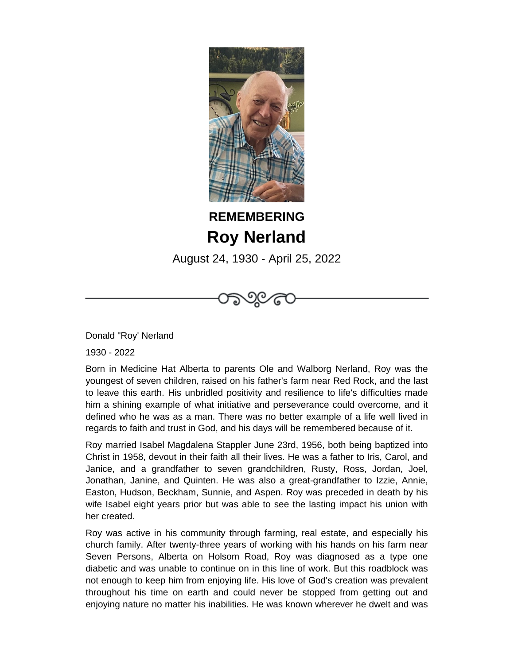

## **REMEMBERING Roy Nerland**

August 24, 1930 - April 25, 2022

೧೯೧

Donald "Roy' Nerland

1930 - 2022

Born in Medicine Hat Alberta to parents Ole and Walborg Nerland, Roy was the youngest of seven children, raised on his father's farm near Red Rock, and the last to leave this earth. His unbridled positivity and resilience to life's difficulties made him a shining example of what initiative and perseverance could overcome, and it defined who he was as a man. There was no better example of a life well lived in regards to faith and trust in God, and his days will be remembered because of it.

Roy married Isabel Magdalena Stappler June 23rd, 1956, both being baptized into Christ in 1958, devout in their faith all their lives. He was a father to Iris, Carol, and Janice, and a grandfather to seven grandchildren, Rusty, Ross, Jordan, Joel, Jonathan, Janine, and Quinten. He was also a great-grandfather to Izzie, Annie, Easton, Hudson, Beckham, Sunnie, and Aspen. Roy was preceded in death by his wife Isabel eight years prior but was able to see the lasting impact his union with her created.

Roy was active in his community through farming, real estate, and especially his church family. After twenty-three years of working with his hands on his farm near Seven Persons, Alberta on Holsom Road, Roy was diagnosed as a type one diabetic and was unable to continue on in this line of work. But this roadblock was not enough to keep him from enjoying life. His love of God's creation was prevalent throughout his time on earth and could never be stopped from getting out and enjoying nature no matter his inabilities. He was known wherever he dwelt and was